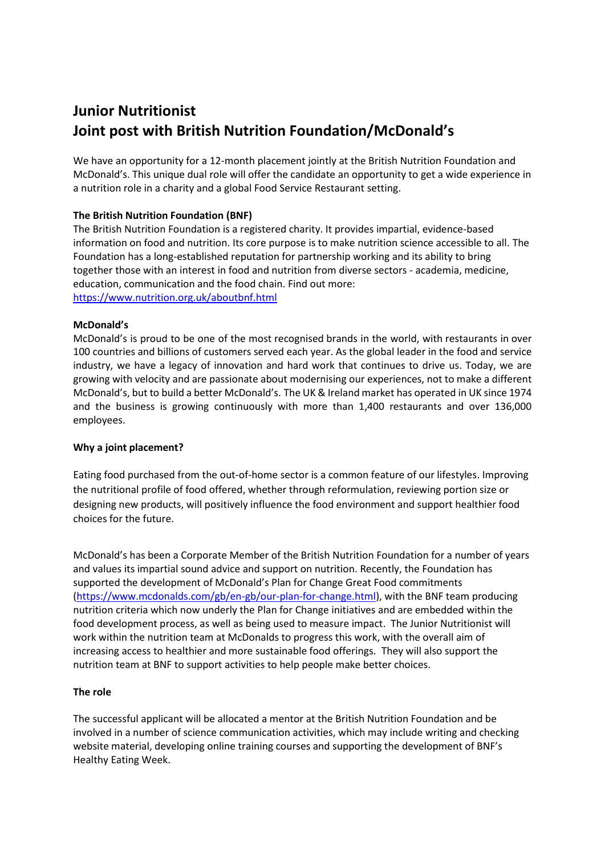# **Junior Nutritionist Joint post with British Nutrition Foundation/McDonald's**

We have an opportunity for a 12-month placement jointly at the British Nutrition Foundation and McDonald's. This unique dual role will offer the candidate an opportunity to get a wide experience in a nutrition role in a charity and a global Food Service Restaurant setting.

## **The British Nutrition Foundation (BNF)**

The British Nutrition Foundation is a registered charity. It provides impartial, evidence-based information on food and nutrition. Its core purpose is to make nutrition science accessible to all. The Foundation has a long-established reputation for partnership working and its ability to bring together those with an interest in food and nutrition from diverse sectors - academia, medicine, education, communication and the food chain. Find out more: <https://www.nutrition.org.uk/aboutbnf.html>

### **McDonald's**

McDonald's is proud to be one of the most recognised brands in the world, with restaurants in over 100 countries and billions of customers served each year. As the global leader in the food and service industry, we have a legacy of innovation and hard work that continues to drive us. Today, we are growing with velocity and are passionate about modernising our experiences, not to make a different McDonald's, but to build a better McDonald's. The UK & Ireland market has operated in UK since 1974 and the business is growing continuously with more than 1,400 restaurants and over 136,000 employees.

### **Why a joint placement?**

Eating food purchased from the out-of-home sector is a common feature of our lifestyles. Improving the nutritional profile of food offered, whether through reformulation, reviewing portion size or designing new products, will positively influence the food environment and support healthier food choices for the future.

McDonald's has been a Corporate Member of the British Nutrition Foundation for a number of years and values its impartial sound advice and support on nutrition. Recently, the Foundation has supported the development of McDonald's Plan for Change Great Food commitments [\(https://www.mcdonalds.com/gb/en-gb/our-plan-for-change.html\)](https://www.mcdonalds.com/gb/en-gb/our-plan-for-change.html), with the BNF team producing nutrition criteria which now underly the Plan for Change initiatives and are embedded within the food development process, as well as being used to measure impact. The Junior Nutritionist will work within the nutrition team at McDonalds to progress this work, with the overall aim of increasing access to healthier and more sustainable food offerings. They will also support the nutrition team at BNF to support activities to help people make better choices.

#### **The role**

The successful applicant will be allocated a mentor at the British Nutrition Foundation and be involved in a number of science communication activities, which may include writing and checking website material, developing online training courses and supporting the development of BNF's Healthy Eating Week.